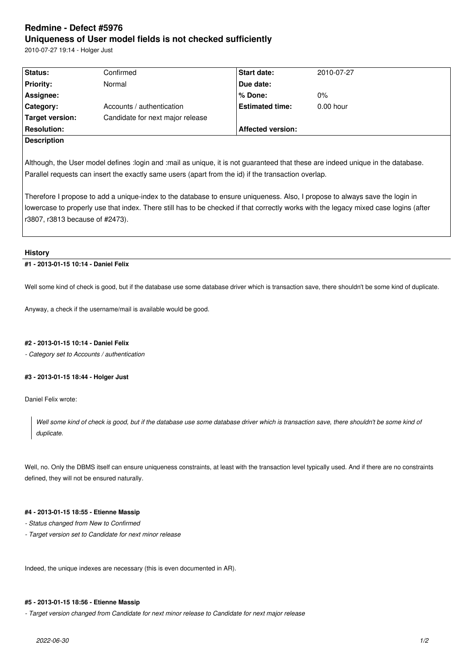# **Redmine - Defect #5976 Uniqueness of User model fields is not checked sufficiently**

2010-07-27 19:14 - Holger Just

| Status:            | Confirmed                        | <b>Start date:</b>       | 2010-07-27  |
|--------------------|----------------------------------|--------------------------|-------------|
| <b>Priority:</b>   | Normal                           | Due date:                |             |
| Assignee:          |                                  | % Done:                  | $0\%$       |
| Category:          | Accounts / authentication        | <b>Estimated time:</b>   | $0.00$ hour |
| Target version:    | Candidate for next major release |                          |             |
| <b>Resolution:</b> |                                  | <b>Affected version:</b> |             |
| <b>Description</b> |                                  |                          |             |
|                    |                                  |                          |             |

Although, the User model defines :login and :mail as unique, it is not guaranteed that these are indeed unique in the database. Parallel requests can insert the exactly same users (apart from the id) if the transaction overlap.

Therefore I propose to add a unique-index to the database to ensure uniqueness. Also, I propose to always save the login in lowercase to properly use that index. There still has to be checked if that correctly works with the legacy mixed case logins (after r3807, r3813 because of #2473).

#### **History**

## **#1 - 2013-01-15 10:14 - Daniel Felix**

Well some kind of check is good, but if the database use some database driver which is transaction save, there shouldn't be some kind of duplicate.

Anyway, a check if the username/mail is available would be good.

## **#2 - 2013-01-15 10:14 - Daniel Felix**

*- Category set to Accounts / authentication*

## **#3 - 2013-01-15 18:44 - Holger Just**

Daniel Felix wrote:

*Well some kind of check is good, but if the database use some database driver which is transaction save, there shouldn't be some kind of duplicate.*

Well, no. Only the DBMS itself can ensure uniqueness constraints, at least with the transaction level typically used. And if there are no constraints defined, they will not be ensured naturally.

## **#4 - 2013-01-15 18:55 - Etienne Massip**

- *Status changed from New to Confirmed*
- *Target version set to Candidate for next minor release*

Indeed, the unique indexes are necessary (this is even documented in AR).

#### **#5 - 2013-01-15 18:56 - Etienne Massip**

*- Target version changed from Candidate for next minor release to Candidate for next major release*